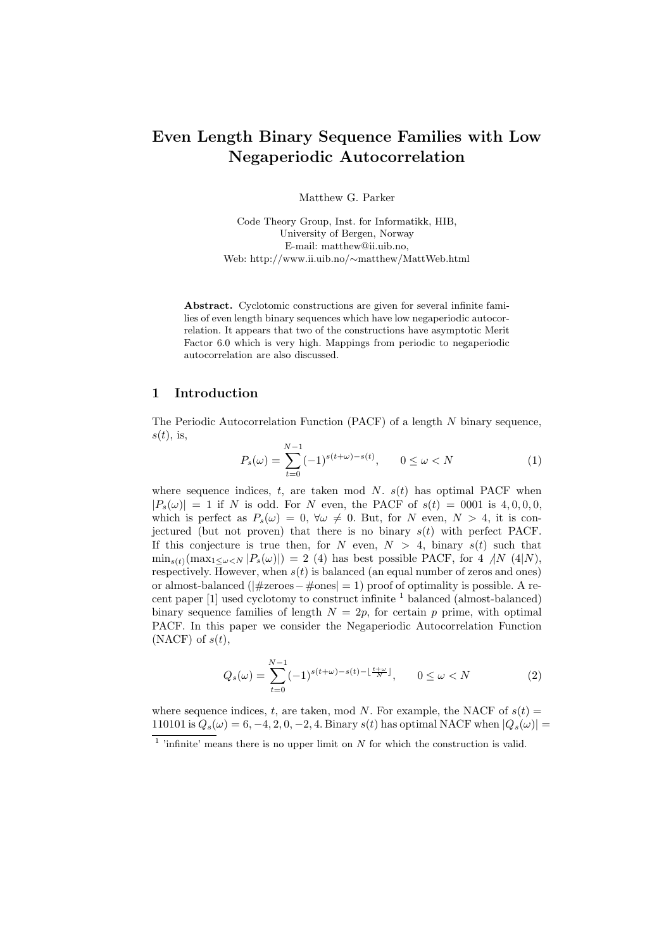# Even Length Binary Sequence Families with Low Negaperiodic Autocorrelation

Matthew G. Parker

Code Theory Group, Inst. for Informatikk, HIB, University of Bergen, Norway E-mail: matthew@ii.uib.no, Web: http://www.ii.uib.no/∼matthew/MattWeb.html

Abstract. Cyclotomic constructions are given for several infinite families of even length binary sequences which have low negaperiodic autocorrelation. It appears that two of the constructions have asymptotic Merit Factor 6.0 which is very high. Mappings from periodic to negaperiodic autocorrelation are also discussed.

# 1 Introduction

The Periodic Autocorrelation Function (PACF) of a length N binary sequence,  $s(t)$ , is,

$$
P_s(\omega) = \sum_{t=0}^{N-1} (-1)^{s(t+\omega)-s(t)}, \qquad 0 \le \omega < N \tag{1}
$$

where sequence indices, t, are taken mod N,  $s(t)$  has optimal PACF when  $|P_s(\omega)| = 1$  if N is odd. For N even, the PACF of  $s(t) = 0001$  is 4, 0, 0, 0, which is perfect as  $P_s(\omega) = 0$ ,  $\forall \omega \neq 0$ . But, for N even,  $N > 4$ , it is conjectured (but not proven) that there is no binary  $s(t)$  with perfect PACF. If this conjecture is true then, for N even,  $N > 4$ , binary  $s(t)$  such that  $\min_{s(t)}(\max_{1\leq \omega\leq N} |P_s(\omega)|) = 2$  (4) has best possible PACF, for 4  $\text{/}N$  (4|N), respectively. However, when  $s(t)$  is balanced (an equal number of zeros and ones) or almost-balanced ( $|\# \text{zeros}-\# \text{ones}|=1$ ) proof of optimality is possible. A recent paper  $[1]$  used cyclotomy to construct infinite  $^1$  balanced (almost-balanced) binary sequence families of length  $N = 2p$ , for certain p prime, with optimal PACF. In this paper we consider the Negaperiodic Autocorrelation Function (NACF) of  $s(t)$ ,

$$
Q_s(\omega) = \sum_{t=0}^{N-1} (-1)^{s(t+\omega)-s(t)-\lfloor \frac{t+\omega}{N} \rfloor}, \qquad 0 \le \omega < N \tag{2}
$$

where sequence indices, t, are taken, mod N. For example, the NACF of  $s(t)$  = 110101 is  $Q_s(\omega) = 6, -4, 2, 0, -2, 4$ . Binary  $s(t)$  has optimal NACF when  $|Q_s(\omega)| =$ 

 $<sup>1</sup>$  'infinite' means there is no upper limit on N for which the construction is valid.</sup>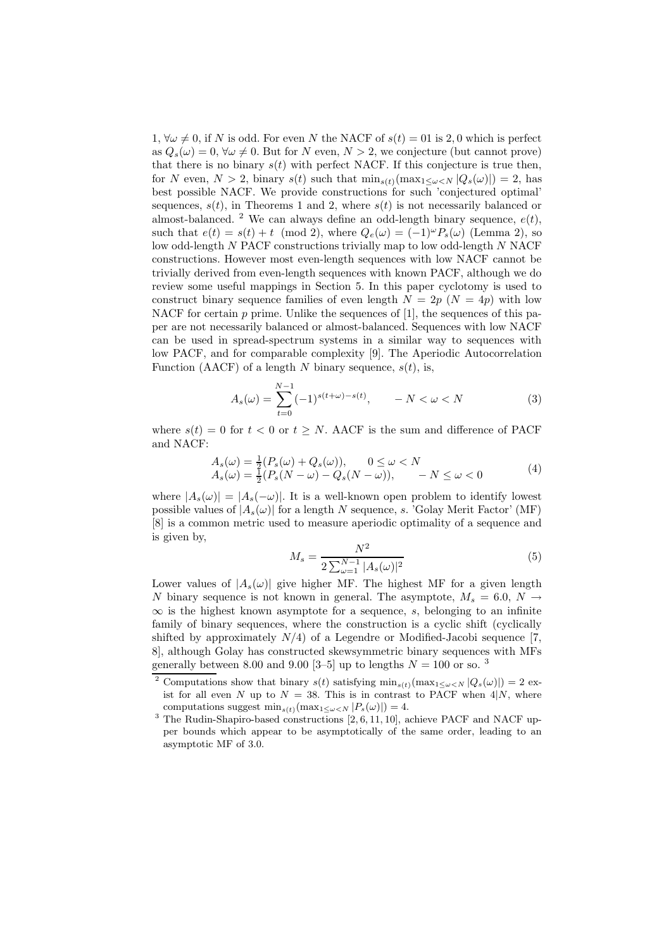$1, \forall \omega \neq 0$ , if N is odd. For even N the NACF of  $s(t) = 01$  is 2,0 which is perfect as  $Q_s(\omega) = 0$ ,  $\forall \omega \neq 0$ . But for N even,  $N > 2$ , we conjecture (but cannot prove) that there is no binary  $s(t)$  with perfect NACF. If this conjecture is true then, for N even,  $N > 2$ , binary  $s(t)$  such that  $\min_{s(t)}(\max_{1 \leq \omega \leq N} |Q_s(\omega)|) = 2$ , has best possible NACF. We provide constructions for such 'conjectured optimal' sequences,  $s(t)$ , in Theorems 1 and 2, where  $s(t)$  is not necessarily balanced or almost-balanced. <sup>2</sup> We can always define an odd-length binary sequence,  $e(t)$ , such that  $e(t) = s(t) + t \pmod{2}$ , where  $Q_e(\omega) = (-1)^{\omega} P_s(\omega)$  (Lemma 2), so low odd-length N PACF constructions trivially map to low odd-length N NACF constructions. However most even-length sequences with low NACF cannot be trivially derived from even-length sequences with known PACF, although we do review some useful mappings in Section 5. In this paper cyclotomy is used to construct binary sequence families of even length  $N = 2p$  ( $N = 4p$ ) with low NACF for certain  $p$  prime. Unlike the sequences of  $[1]$ , the sequences of this paper are not necessarily balanced or almost-balanced. Sequences with low NACF can be used in spread-spectrum systems in a similar way to sequences with low PACF, and for comparable complexity [9]. The Aperiodic Autocorrelation Function (AACF) of a length N binary sequence,  $s(t)$ , is,

$$
A_s(\omega) = \sum_{t=0}^{N-1} (-1)^{s(t+\omega)-s(t)}, \qquad -N < \omega < N \tag{3}
$$

where  $s(t) = 0$  for  $t < 0$  or  $t \geq N$ . AACF is the sum and difference of PACF and NACF:

$$
A_s(\omega) = \frac{1}{2}(P_s(\omega) + Q_s(\omega)), \qquad 0 \le \omega < N
$$
\n
$$
A_s(\omega) = \frac{1}{2}(P_s(N - \omega) - Q_s(N - \omega)), \qquad -N \le \omega < 0
$$
\n
$$
\tag{4}
$$

where  $|A_s(\omega)| = |A_s(-\omega)|$ . It is a well-known open problem to identify lowest possible values of  $|A_s(\omega)|$  for a length N sequence, s. 'Golay Merit Factor' (MF) [8] is a common metric used to measure aperiodic optimality of a sequence and is given by,

$$
M_s = \frac{N^2}{2\sum_{\omega=1}^{N-1} |A_s(\omega)|^2} \tag{5}
$$

Lower values of  $|A_s(\omega)|$  give higher MF. The highest MF for a given length N binary sequence is not known in general. The asymptote,  $M_s = 6.0, N \rightarrow$  $\infty$  is the highest known asymptote for a sequence, s, belonging to an infinite family of binary sequences, where the construction is a cyclic shift (cyclically shifted by approximately  $N/4$ ) of a Legendre or Modified-Jacobi sequence [7, 8], although Golay has constructed skewsymmetric binary sequences with MFs generally between 8.00 and 9.00 [3-5] up to lengths  $N = 100$  or so. <sup>3</sup>

<sup>&</sup>lt;sup>2</sup> Computations show that binary  $s(t)$  satisfying  $\min_{s(t)}(\max_{1\leq \omega\leq N} |Q_s(\omega)|) = 2$  exist for all even N up to  $N = 38$ . This is in contrast to PACF when 4|N, where computations suggest  $\min_{s(t)}(\max_{1\leq \omega < N} |P_s(\omega)|) = 4.$ 

<sup>3</sup> The Rudin-Shapiro-based constructions [2, 6, 11, 10], achieve PACF and NACF upper bounds which appear to be asymptotically of the same order, leading to an asymptotic MF of 3.0.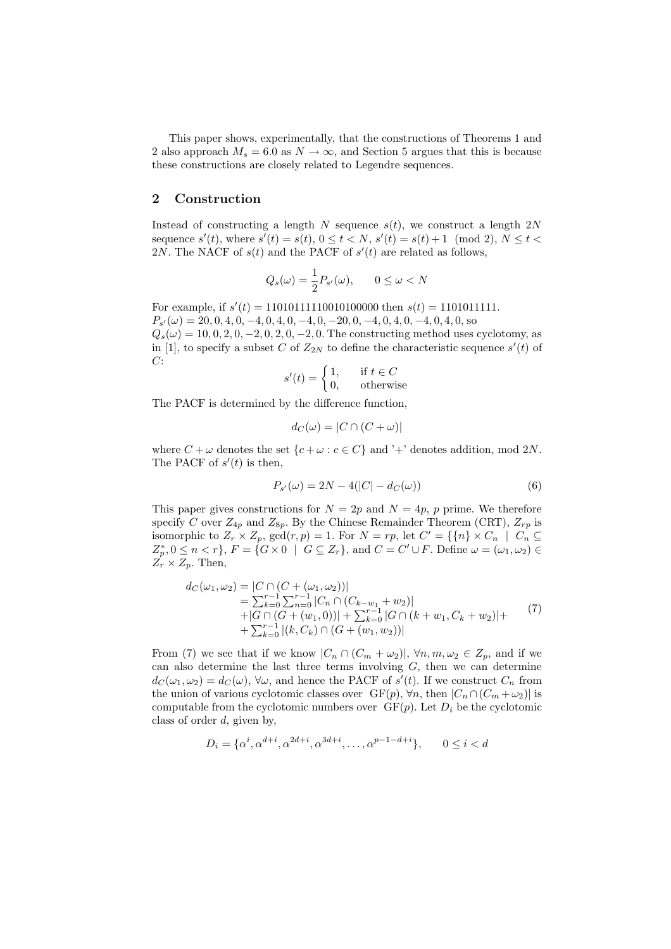This paper shows, experimentally, that the constructions of Theorems 1 and 2 also approach  $M_s = 6.0$  as  $N \to \infty$ , and Section 5 argues that this is because these constructions are closely related to Legendre sequences.

#### 2 Construction

Instead of constructing a length N sequence  $s(t)$ , we construct a length  $2N$ sequence  $s'(t)$ , where  $s'(t) = s(t)$ ,  $0 \le t < N$ ,  $s'(t) = s(t) + 1 \pmod{2}$ ,  $N \le t <$ 2N. The NACF of  $s(t)$  and the PACF of  $s'(t)$  are related as follows,

$$
Q_s(\omega) = \frac{1}{2} P_{s'}(\omega), \qquad 0 \le \omega < N
$$

For example, if  $s'(t) = 11010111110010100000$  then  $s(t) = 1101011111$ .  $P_{s'}(\omega) = 20, 0, 4, 0, -4, 0, 4, 0, -4, 0, -20, 0, -4, 0, 4, 0, -4, 0, 4, 0, \text{ so}$  $Q_s(\omega) = 10, 0, 2, 0, -2, 0, 2, 0, -2, 0$ . The constructing method uses cyclotomy, as in [1], to specify a subset C of  $Z_{2N}$  to define the characteristic sequence  $s'(t)$  of  $C:$ 

$$
s'(t) = \begin{cases} 1, & \text{if } t \in C \\ 0, & \text{otherwise} \end{cases}
$$

The PACF is determined by the difference function,

$$
d_C(\omega) = |C \cap (C + \omega)|
$$

where  $C + \omega$  denotes the set  $\{c + \omega : c \in C\}$  and '+' denotes addition, mod 2N. The PACF of  $s'(t)$  is then,

$$
P_{s'}(\omega) = 2N - 4(|C| - d_C(\omega))
$$
\n(6)

This paper gives constructions for  $N = 2p$  and  $N = 4p$ , p prime. We therefore specify C over  $Z_{4p}$  and  $Z_{8p}$ . By the Chinese Remainder Theorem (CRT),  $Z_{rp}$  is isomorphic to  $Z_r \times Z_p$ ,  $gcd(r, p) = 1$ . For  $N = rp$ , let  $C' = \{\{n\} \times C_n \mid C_n \subseteq$  $Z_p^*, 0 \le n < r\}, F = \{G \times 0 \mid G \subseteq Z_r\}, \text{ and } C = C' \cup F.$  Define  $\omega = (\omega_1, \omega_2) \in$  $Z_r \times Z_p$ . Then,

$$
d_C(\omega_1, \omega_2) = |C \cap (C + (\omega_1, \omega_2))|
$$
  
=  $\sum_{k=0}^{r-1} \sum_{n=0}^{r-1} |C_n \cap (C_{k-w_1} + w_2)|$   
+|G \cap (G + (w\_1, 0))| +  $\sum_{k=0}^{r-1} |G \cap (k + w_1, C_k + w_2)|$ +  
+  $\sum_{k=0}^{r-1} |(k, C_k) \cap (G + (w_1, w_2))|$  (7)

From (7) we see that if we know  $|C_n \cap (C_m + \omega_2)|$ ,  $\forall n, m, \omega_2 \in Z_p$ , and if we can also determine the last three terms involving  $G$ , then we can determine  $d_C(\omega_1, \omega_2) = d_C(\omega)$ ,  $\forall \omega$ , and hence the PACF of  $s'(t)$ . If we construct  $C_n$  from the union of various cyclotomic classes over  $GF(p)$ ,  $\forall n$ , then  $|C_n \cap (C_m + \omega_2)|$  is computable from the cyclotomic numbers over  $GF(p)$ . Let  $D_i$  be the cyclotomic class of order  $d$ , given by,

$$
D_i = \{ \alpha^i, \alpha^{d+i}, \alpha^{2d+i}, \alpha^{3d+i}, \dots, \alpha^{p-1-d+i} \}, \qquad 0 \le i < d
$$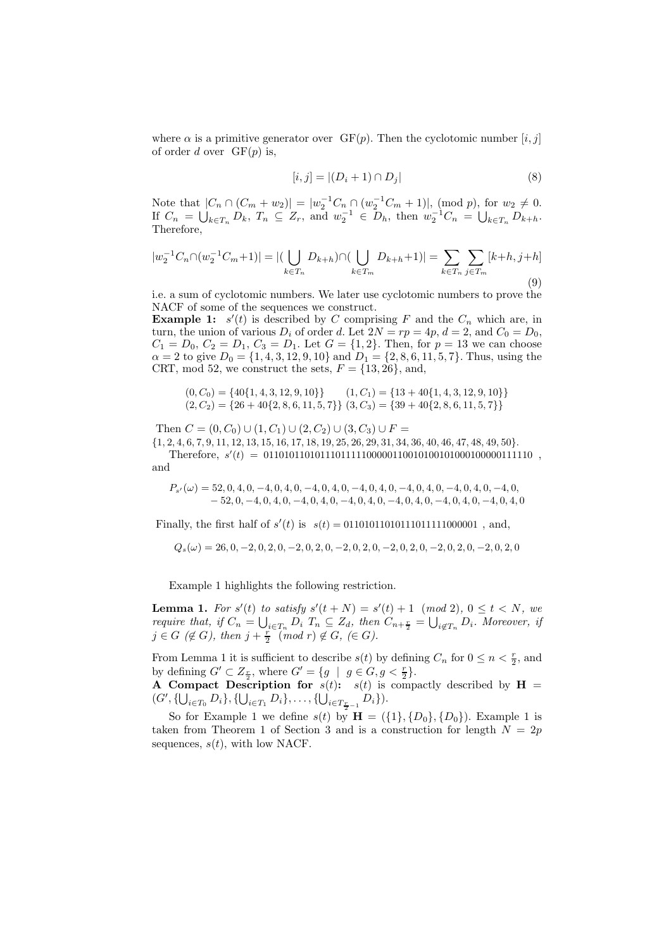where  $\alpha$  is a primitive generator over  $GF(p)$ . Then the cyclotomic number  $[i, j]$ of order d over  $GF(p)$  is,

$$
[i, j] = |(D_i + 1) \cap D_j|
$$
\n(8)

Note that  $|C_n \cap (C_m + w_2)| = |w_2^{-1}C_n \cap (w_2^{-1}C_m + 1)|$ , (mod p), for  $w_2 \neq 0$ . If  $C_n = \bigcup_{k \in T_n} D_k$ ,  $T_n \subseteq Z_r$ , and  $w_2^{-1} \in D_h$ , then  $w_2^{-1}C_n = \bigcup_{k \in T_n} D_{k+h}$ . Therefore,

$$
|w_2^{-1}C_n \cap (w_2^{-1}C_m + 1)| = |(\bigcup_{k \in T_n} D_{k+h}) \cap (\bigcup_{k \in T_m} D_{k+h} + 1)| = \sum_{k \in T_n} \sum_{j \in T_m} [k+h, j+h]
$$
\n(9)

i.e. a sum of cyclotomic numbers. We later use cyclotomic numbers to prove the NACF of some of the sequences we construct.

**Example 1:**  $s'(t)$  is described by C comprising F and the  $C_n$  which are, in turn, the union of various  $D_i$  of order d. Let  $2N = rp = 4p$ ,  $d = 2$ , and  $C_0 = D_0$ ,  $C_1 = D_0, C_2 = D_1, C_3 = D_1.$  Let  $G = \{1, 2\}$ . Then, for  $p = 13$  we can choose  $\alpha = 2$  to give  $D_0 = \{1, 4, 3, 12, 9, 10\}$  and  $D_1 = \{2, 8, 6, 11, 5, 7\}$ . Thus, using the CRT, mod 52, we construct the sets,  $F = \{13, 26\}$ , and,

$$
(0, C_0) = \{40\{1, 4, 3, 12, 9, 10\}\} \qquad (1, C_1) = \{13 + 40\{1, 4, 3, 12, 9, 10\}\}\
$$
  

$$
(2, C_2) = \{26 + 40\{2, 8, 6, 11, 5, 7\}\} \qquad (3, C_3) = \{39 + 40\{2, 8, 6, 11, 5, 7\}\}
$$

Then  $C = (0, C_0) \cup (1, C_1) \cup (2, C_2) \cup (3, C_3) \cup F =$ 

 $\{1, 2, 4, 6, 7, 9, 11, 12, 13, 15, 16, 17, 18, 19, 25, 26, 29, 31, 34, 36, 40, 46, 47, 48, 49, 50\}.$ Therefore, s 0 (t) = 0110101101011101111100000110010100101000100000111110 , and

$$
P_{s'}(\omega) = 52, 0, 4, 0, -4, 0, 4, 0, -4, 0, 4, 0, -4, 0, 4, 0, -4, 0, 4, 0, -4, 0, 4, 0, -4, 0, -52, 0, -4, 0, 4, 0, -4, 0, 4, 0, -4, 0, 4, 0, -4, 0, 4, 0, -4, 0, 4, 0, -4, 0, 4, 0
$$

Finally, the first half of  $s'(t)$  is  $s(t) = 01101011010111111000001$ , and,

$$
Q_s(\omega) = 26, 0, -2, 0, 2, 0, -2, 0, 2, 0, -2, 0, 2, 0, -2, 0, 2, 0, -2, 0, 2, 0, -2, 0, 2, 0
$$

Example 1 highlights the following restriction.

**Lemma 1.** For  $s'(t)$  to satisfy  $s'(t + N) = s'(t) + 1 \pmod{2}$ ,  $0 \le t < N$ , we require that, if  $C_n = \bigcup_{i \in T_n} D_i$   $T_n \subseteq Z_d$ , then  $C_{n+\frac{r}{2}} = \bigcup_{i \notin T_n} D_i$ . Moreover, if  $j \in G \; (\notin G)$ , then  $j + \frac{r}{2} \pmod{r} \notin G$ ,  $(\in G)$ .

From Lemma 1 it is sufficient to describe  $s(t)$  by defining  $C_n$  for  $0 \leq n < \frac{r}{2}$ , and by defining  $G' \subset Z_{\frac{r}{2}}$ , where  $G' = \{g \mid g \in G, g < \frac{r}{2}\}.$ 

A Compact Description for  $s(t)$ :  $s(t)$  is compactly described by H =  $(G', \{\bigcup_{i \in T_0} D_i\}, \{\bigcup_{i \in T_1} D_i\}, \dots, \{\bigcup_{i \in T_{\frac{r}{2}-1}} D_i\}\)$ .

So for Example 1 we define  $s(t)$  by  $H = ({1}, {D_0}, {D_0})$ . Example 1 is taken from Theorem 1 of Section 3 and is a construction for length  $N = 2p$ sequences,  $s(t)$ , with low NACF.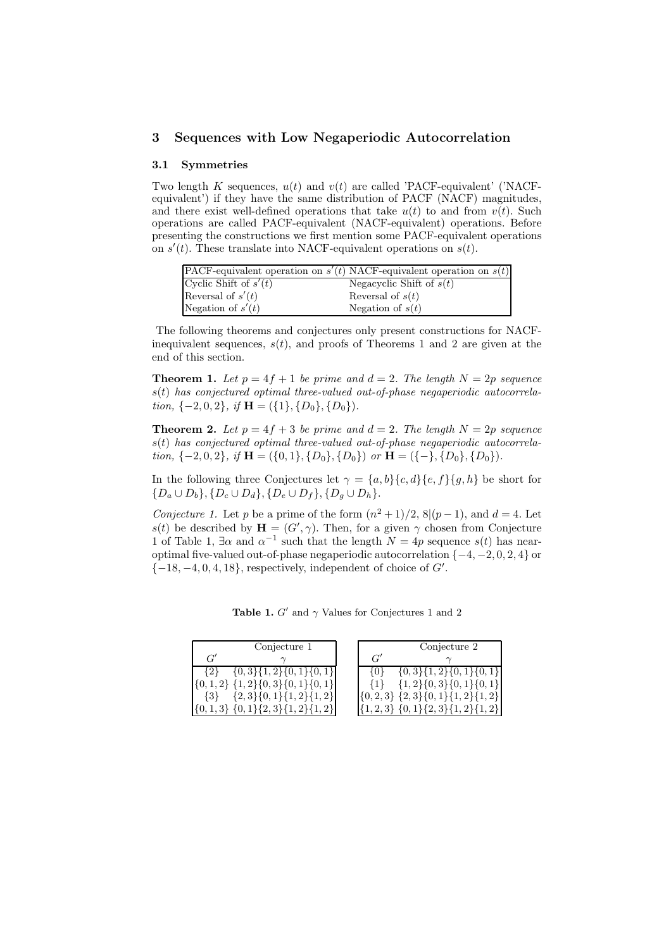### 3 Sequences with Low Negaperiodic Autocorrelation

#### 3.1 Symmetries

Two length K sequences,  $u(t)$  and  $v(t)$  are called 'PACF-equivalent' ('NACFequivalent') if they have the same distribution of PACF (NACF) magnitudes, and there exist well-defined operations that take  $u(t)$  to and from  $v(t)$ . Such operations are called PACF-equivalent (NACF-equivalent) operations. Before presenting the constructions we first mention some PACF-equivalent operations on  $s'(t)$ . These translate into NACF-equivalent operations on  $s(t)$ .

| PACF-equivalent operation on $s'(t)$ NACF-equivalent operation on $s(t)$ |                         |                            |
|--------------------------------------------------------------------------|-------------------------|----------------------------|
|                                                                          |                         |                            |
|                                                                          | Cyclic Shift of $s'(t)$ | Negacyclic Shift of $s(t)$ |
| Reversal of $s'(t)$<br>Reversal of $s(t)$                                |                         |                            |
| Negation of $s'(t)$<br>Negation of $s(t)$                                |                         |                            |

The following theorems and conjectures only present constructions for NACFinequivalent sequences,  $s(t)$ , and proofs of Theorems 1 and 2 are given at the end of this section.

**Theorem 1.** Let  $p = 4f + 1$  be prime and  $d = 2$ . The length  $N = 2p$  sequence  $s(t)$  has conjectured optimal three-valued out-of-phase negaperiodic autocorrelation,  $\{-2,0,2\}$ , if  $\mathbf{H} = (\{1\}, \{D_0\}, \{D_0\})$ .

**Theorem 2.** Let  $p = 4f + 3$  be prime and  $d = 2$ . The length  $N = 2p$  sequence  $s(t)$  has conjectured optimal three-valued out-of-phase negaperiodic autocorrelation,  $\{-2, 0, 2\}$ , if  $\mathbf{H} = (\{0, 1\}, \{D_0\}, \{D_0\})$  or  $\mathbf{H} = (\{-\}, \{D_0\}, \{D_0\}).$ 

In the following three Conjectures let  $\gamma = \{a, b\}\{c, d\}\{e, f\}\{g, h\}$  be short for  ${D_a \cup D_b}, {D_c \cup D_d}, {D_e \cup D_f}, {D_g \cup D_h}.$ 

Conjecture 1. Let p be a prime of the form  $(n^2+1)/2$ ,  $8|(p-1)$ , and  $d=4$ . Let  $s(t)$  be described by  $\mathbf{H} = (G', \gamma)$ . Then, for a given  $\gamma$  chosen from Conjecture 1 of Table 1,  $\exists \alpha$  and  $\alpha^{-1}$  such that the length  $N = 4p$  sequence  $s(t)$  has nearoptimal five-valued out-of-phase negaperiodic autocorrelation  $\{-4, -2, 0, 2, 4\}$  or  $\{-18, -4, 0, 4, 18\}$ , respectively, independent of choice of  $G'$ .

Table 1.  $G'$  and  $\gamma$  Values for Conjectures 1 and 2

 ${0, 1}$ {0, 1}  $\{0, 1\}$ {0, 1}{0, 1}  ${1, 2}{1, 2}$  ${1, 2}$ {1, 2}

| Conjecture 2                                                                              |
|-------------------------------------------------------------------------------------------|
| G'                                                                                        |
| $\{0,3\}\{1,2\}\{0,1\}\{0,1\}$<br>$\{0,3\}\{1,2\}\{0,1\}\$<br>$\{0\}$                     |
| ${0, 1, 2}$ {1, 2} {0, 3} {0, 1} {0, 1}<br>${1,2}$ {0,3}{0,1}{<br>$\{1\}$                 |
| $\{0,2,3\}$ $\{2,3\}$ $\{0,1\}$ $\{1,2\}$<br>${3} \{2,3\} \{0,1\} \{1,2\} \{1,2\}$        |
| $\{1,2,3\}$ {0, 1} {2, 3} {1, 2} {<br>$\{0,1,3\}$ $\{0,1\}$ $\{2,3\}$ $\{1,2\}$ $\{1,2\}$ |
|                                                                                           |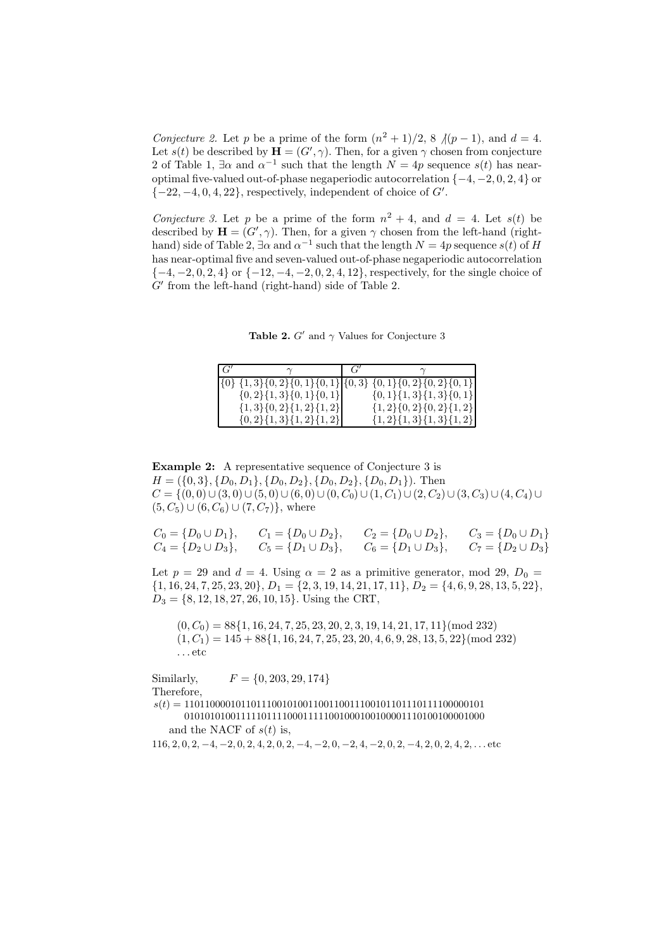Conjecture 2. Let p be a prime of the form  $(n^2 + 1)/2$ , 8  $/(p - 1)$ , and  $d = 4$ . Let  $s(t)$  be described by  $\mathbf{H} = (G', \gamma)$ . Then, for a given  $\gamma$  chosen from conjecture 2 of Table 1,  $\exists \alpha$  and  $\alpha^{-1}$  such that the length  $N = 4p$  sequence  $s(t)$  has nearoptimal five-valued out-of-phase negaperiodic autocorrelation {−4, −2, 0, 2, 4} or  $\{-22, -4, 0, 4, 22\}$ , respectively, independent of choice of  $G'$ .

Conjecture 3. Let p be a prime of the form  $n^2 + 4$ , and  $d = 4$ . Let  $s(t)$  be described by  $\mathbf{H} = (G', \gamma)$ . Then, for a given  $\gamma$  chosen from the left-hand (righthand) side of Table 2,  $\exists \alpha$  and  $\alpha^{-1}$  such that the length  $N = 4p$  sequence  $s(t)$  of H has near-optimal five and seven-valued out-of-phase negaperiodic autocorrelation  $\{-4, -2, 0, 2, 4\}$  or  $\{-12, -4, -2, 0, 2, 4, 12\}$ , respectively, for the single choice of  $G'$  from the left-hand (right-hand) side of Table 2.

Table 2.  $G'$  and  $\gamma$  Values for Conjecture 3

| $\perp G'$ |                                                                                 | G' |                                |
|------------|---------------------------------------------------------------------------------|----|--------------------------------|
|            | $\{\{0, 1\}\}\{0, 2\}\{0, 1\}\{0, 1\}\{0, 3\}\{0, 1\}\{0, 2\}\{0, 2\}\{0, 1\}\$ |    |                                |
|            | ${0,2}{1,3}{0,1}{0,1}$                                                          |    | $\{0,1\}\{1,3\}\{1,3\}\{0,1\}$ |
|            | ${1,3}{0,2}{1,2}{1,2}$                                                          |    | ${1,2}{0,2}{0,2}{1,2}$         |
|            | $\{0,2\}\{1,3\}\{1,2\}\{1,2\}$                                                  |    | ${1,2}{1,3}{1,3}{1,3}{1,2}$    |

Example 2: A representative sequence of Conjecture 3 is  $H = (\{0, 3\}, \{D_0, D_1\}, \{D_0, D_2\}, \{D_0, D_2\}, \{D_0, D_1\})$ . Then  $C = \{(0,0) \cup (3,0) \cup (5,0) \cup (6,0) \cup (0,C_0) \cup (1,C_1) \cup (2,C_2) \cup (3,C_3) \cup (4,C_4) \cup$  $(5, C_5) \cup (6, C_6) \cup (7, C_7)$ , where

|  | $C_0 = \{D_0 \cup D_1\}, \quad C_1 = \{D_0 \cup D_2\}, \quad C_2 = \{D_0 \cup D_2\}, \quad C_3 = \{D_0 \cup D_1\}$ |  |
|--|--------------------------------------------------------------------------------------------------------------------|--|
|  | $C_4 = \{D_2 \cup D_3\}, \quad C_5 = \{D_1 \cup D_3\}, \quad C_6 = \{D_1 \cup D_3\}, \quad C_7 = \{D_2 \cup D_3\}$ |  |

Let  $p = 29$  and  $d = 4$ . Using  $\alpha = 2$  as a primitive generator, mod 29,  $D_0 =$  $\{1, 16, 24, 7, 25, 23, 20\}, D_1 = \{2, 3, 19, 14, 21, 17, 11\}, D_2 = \{4, 6, 9, 28, 13, 5, 22\},$  $D_3 = \{8, 12, 18, 27, 26, 10, 15\}$ . Using the CRT,

 $(0, C_0) = 88\{1, 16, 24, 7, 25, 23, 20, 2, 3, 19, 14, 21, 17, 11\}$  (mod 232)  $(1, C_1) = 145 + 88\{1, 16, 24, 7, 25, 23, 20, 4, 6, 9, 28, 13, 5, 22\}$  (mod 232) . . . etc

Similarly,  $F = \{0, 203, 29, 174\}$ Therefore, s(t) = 1101100001011011100101001100110011100101101110111100000101 0101010100111110111100011111001000100100001110100100001000 and the NACF of  $s(t)$  is,  $116, 2, 0, 2, -4, -2, 0, 2, 4, 2, 0, 2, -4, -2, 0, -2, 4, -2, 0, 2, -4, 2, 0, 2, 4, 2, \ldots$  etc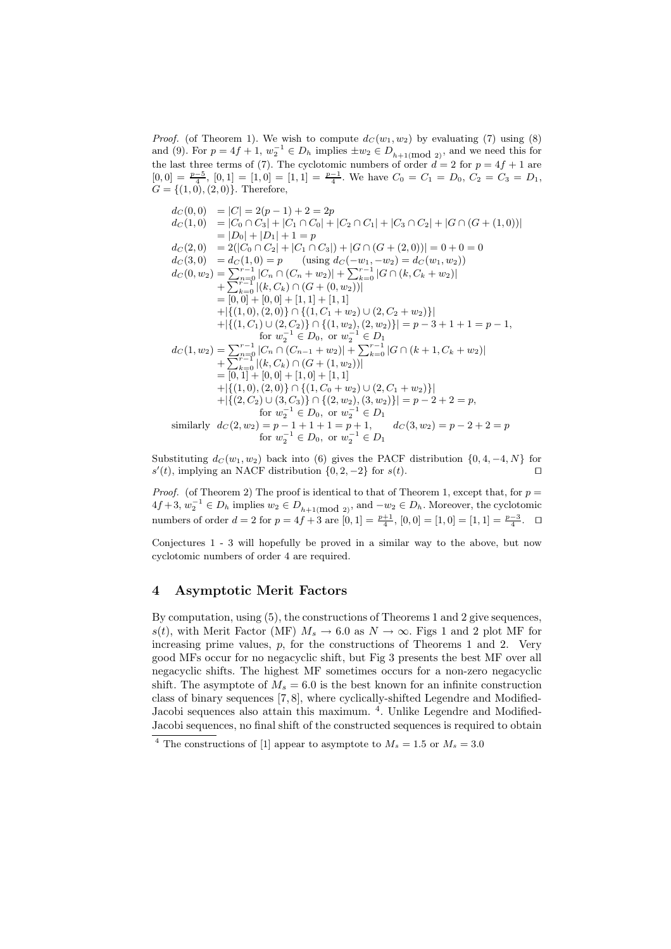*Proof.* (of Theorem 1). We wish to compute  $d_C(w_1, w_2)$  by evaluating (7) using (8) and (9). For  $p = 4f + 1$ ,  $w_2^{-1} \in D_h$  implies  $\pm w_2 \in D_{h+1 \text{(mod 2)}}$ , and we need this for the last three terms of (7). The cyclotomic numbers of order  $d = 2$  for  $p = 4f + 1$  are  $[0, 0] = \frac{p-5}{4}$ ,  $[0, 1] = [1, 0] = [1, 1] = \frac{p-1}{4}$ . We have  $C_0 = C_1 = D_0$ ,  $C_2 = C_3 = D_1$ ,  $G = \{(1,0), (2,0)\}.$  Therefore,

$$
d_C(0,0) = |C| = 2(p-1) + 2 = 2p
$$
  
\n
$$
d_C(1,0) = |C_0 \cap C_3| + |C_1 \cap C_0| + |C_2 \cap C_1| + |C_3 \cap C_2| + |G \cap (G + (1,0))|
$$
  
\n
$$
= |D_0| + |D_1| + 1 = p
$$
  
\n
$$
d_C(2,0) = 2(|C_0 \cap C_2| + |C_1 \cap C_3|) + |G \cap (G + (2,0))| = 0 + 0 = 0
$$
  
\n
$$
d_C(3,0) = d_C(1,0) = p \quad \text{(using } d_C(-w_1, -w_2) = d_C(w_1, w_2))
$$
  
\n
$$
d_C(0,w_2) = \sum_{n=0}^{r-1} |C_n \cap (C_n + w_2)| + \sum_{k=0}^{r-1} |G \cap (k, C_k + w_2)|
$$
  
\n
$$
+ \sum_{k=0}^{r-1} |(k, C_k) \cap (G + (0, w_2))|
$$
  
\n
$$
= [0,0] + [0,0] + [1,1] + [1,1]
$$
  
\n
$$
+ |\{(1,0), (2,0)\} \cap \{(1, C_1 + w_2) \cup (2, C_2 + w_2)\}|
$$
  
\n
$$
+ |\{(1, C_1) \cup (2, C_2)\} \cap \{(1, w_2), (2, w_2)\}| = p - 3 + 1 + 1 = p - 1,
$$
  
\nfor  $w_2^{-1} \in D_0$ , or  $w_2^{-1} \in D_1$   
\n
$$
d_C(1, w_2) = \sum_{n=0}^{r-1} |C_n \cap (C_{n-1} + w_2)| + \sum_{k=0}^{r-1} |G \cap (k + 1, C_k + w_2)|
$$
  
\n
$$
+ \sum_{k=0}^{r-1} |(k, C_k) \cap (G + (1, w_2))|
$$
  
\n
$$
= [0, 1] + [0, 0] + [1, 0] + [1, 1]
$$
  
\n
$$
+ |\{(1, 0), (2, 0)\} \cap
$$

Substituting  $d_C(w_1, w_2)$  back into (6) gives the PACF distribution  $\{0, 4, -4, N\}$  for  $s'(t)$ , implying an NACF distribution  $\{0, 2, -2\}$  for  $s(t)$ . □

*Proof.* (of Theorem 2) The proof is identical to that of Theorem 1, except that, for  $p =$  $4f+3$ ,  $w_2^{-1} \in D_h$  implies  $w_2 \in D_{h+1 \text{ (mod } 2)}$ , and  $-w_2 \in D_h$ . Moreover, the cyclotomic numbers of order  $d = 2$  for  $p = 4f + 3$  are  $[0, 1] = \frac{p+1}{4}$ ,  $[0, 0] = [1, 0] = [1, 1] = \frac{p-3}{4}$ .  $\Box$ 

Conjectures 1 - 3 will hopefully be proved in a similar way to the above, but now cyclotomic numbers of order 4 are required.

#### 4 Asymptotic Merit Factors

By computation, using (5), the constructions of Theorems 1 and 2 give sequences, s(t), with Merit Factor (MF)  $M_s \to 6.0$  as  $N \to \infty$ . Figs 1 and 2 plot MF for increasing prime values,  $p$ , for the constructions of Theorems 1 and 2. Very good MFs occur for no negacyclic shift, but Fig 3 presents the best MF over all negacyclic shifts. The highest MF sometimes occurs for a non-zero negacyclic shift. The asymptote of  $M_s = 6.0$  is the best known for an infinite construction class of binary sequences [7, 8], where cyclically-shifted Legendre and Modified-Jacobi sequences also attain this maximum. <sup>4</sup>. Unlike Legendre and Modified-Jacobi sequences, no final shift of the constructed sequences is required to obtain

<sup>&</sup>lt;sup>4</sup> The constructions of [1] appear to asymptote to  $M_s = 1.5$  or  $M_s = 3.0$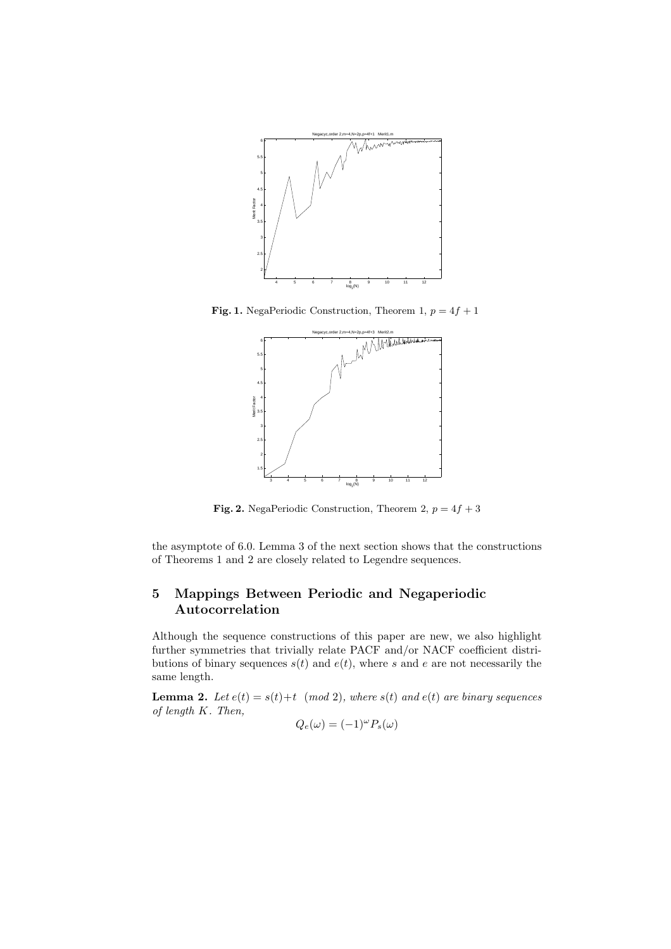

Fig. 1. NegaPeriodic Construction, Theorem 1,  $p = 4f + 1$ 



Fig. 2. NegaPeriodic Construction, Theorem 2,  $p = 4f + 3$ 

the asymptote of 6.0. Lemma 3 of the next section shows that the constructions of Theorems 1 and 2 are closely related to Legendre sequences.

# 5 Mappings Between Periodic and Negaperiodic Autocorrelation

Although the sequence constructions of this paper are new, we also highlight further symmetries that trivially relate PACF and/or NACF coefficient distributions of binary sequences  $s(t)$  and  $e(t)$ , where s and e are not necessarily the same length.

**Lemma 2.** Let  $e(t) = s(t) + t \pmod{2}$ , where  $s(t)$  and  $e(t)$  are binary sequences of length K. Then,

$$
Q_e(\omega) = (-1)^{\omega} P_s(\omega)
$$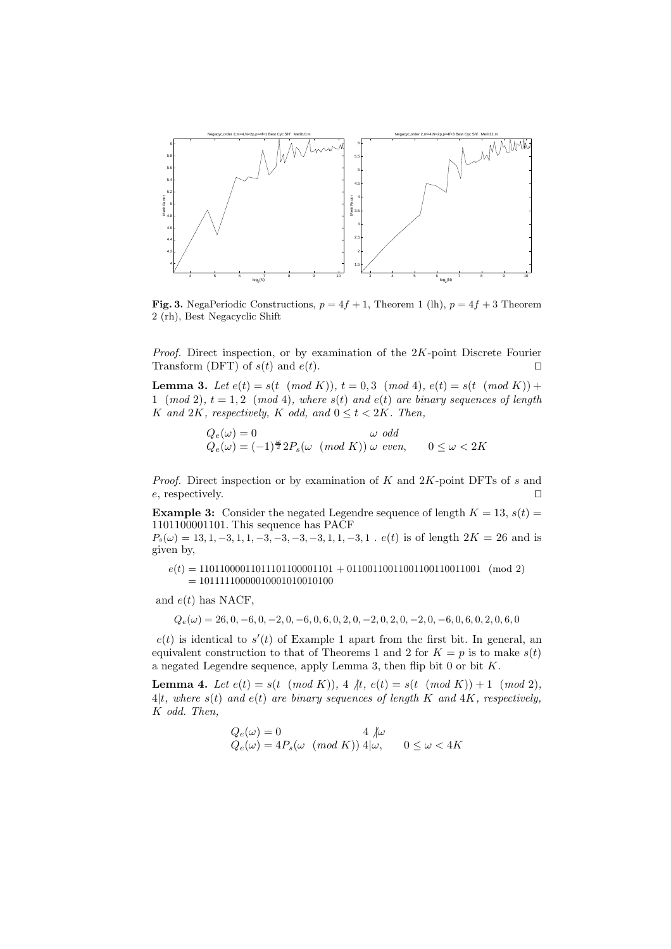

Fig. 3. NegaPeriodic Constructions,  $p = 4f + 1$ , Theorem 1 (lh),  $p = 4f + 3$  Theorem 2 (rh), Best Negacyclic Shift

*Proof.* Direct inspection, or by examination of the  $2K$ -point Discrete Fourier Transform (DFT) of  $s(t)$  and  $e(t)$ .

**Lemma 3.** Let  $e(t) = s(t \pmod{K})$ ,  $t = 0, 3 \pmod{4}$ ,  $e(t) = s(t \pmod{K})$  + 1 (mod 2),  $t = 1, 2 \pmod{4}$ , where  $s(t)$  and  $e(t)$  are binary sequences of length K and  $2K$ , respectively, K odd, and  $0 \le t < 2K$ . Then,

$$
Q_e(\omega) = 0 \qquad \omega \text{ odd}
$$
  

$$
Q_e(\omega) = (-1)^{\frac{\omega}{2}} 2P_s(\omega \pmod{K}) \omega \text{ even}, \qquad 0 \le \omega < 2K
$$

*Proof.* Direct inspection or by examination of  $K$  and  $2K$ -point DFTs of s and e, respectively.  $\Box$ 

**Example 3:** Consider the negated Legendre sequence of length  $K = 13$ ,  $s(t) =$ 1101100001101. This sequence has PACF

 $P_s(\omega) = 13, 1, -3, 1, 1, -3, -3, -3, -3, 1, 1, -3, 1$ .  $e(t)$  is of length  $2K = 26$  and is given by,

e(t) = 11011000011011101100001101 + 01100110011001100110011001 (mod 2)  $= 10111110000010001010010100$ 

and  $e(t)$  has NACF,

 $Q_e(\omega) = 26, 0, -6, 0, -2, 0, -6, 0, 6, 0, 2, 0, -2, 0, 2, 0, -2, 0, -6, 0, 6, 0, 2, 0, 6, 0$ 

 $e(t)$  is identical to  $s'(t)$  of Example 1 apart from the first bit. In general, an equivalent construction to that of Theorems 1 and 2 for  $K = p$  is to make  $s(t)$ a negated Legendre sequence, apply Lemma 3, then flip bit  $0$  or bit  $K$ .

**Lemma 4.** Let  $e(t) = s(t \pmod{K}$ , 4  $\#$ ,  $e(t) = s(t \pmod{K}) + 1 \pmod{2}$ ,  $4|t$ , where  $s(t)$  and  $e(t)$  are binary sequences of length K and  $4K$ , respectively, K odd. Then,

$$
Q_e(\omega) = 0
$$
  
\n
$$
Q_e(\omega) = 4P_s(\omega \pmod{K}) 4|\omega, \qquad 0 \le \omega < 4K
$$